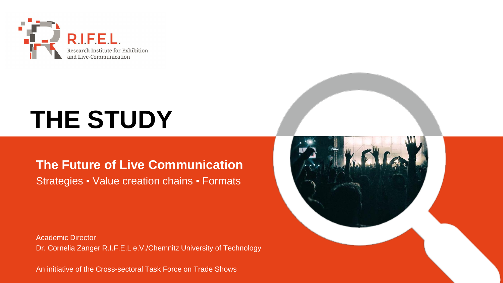

# **THE STUDY**

#### **The Future of Live Communication** Strategies ▪ Value creation chains ▪ Formats

Academic Director Dr. Cornelia Zanger R.I.F.E.L e.V./Chemnitz University of Technology

An initiative of the Cross-sectoral Task Force on Trade Shows

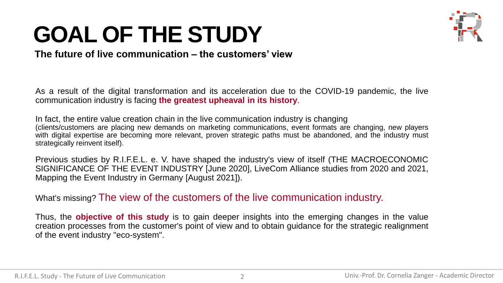### **GOAL OF THE STUDY**



#### **The future of live communication – the customers' view**

As a result of the digital transformation and its acceleration due to the COVID-19 pandemic, the live communication industry is facing **the greatest upheaval in its history**.

In fact, the entire value creation chain in the live communication industry is changing (clients/customers are placing new demands on marketing communications, event formats are changing, new players with digital expertise are becoming more relevant, proven strategic paths must be abandoned, and the industry must strategically reinvent itself).

Previous studies by R.I.F.E.L. e. V. have shaped the industry's view of itself (THE MACROECONOMIC SIGNIFICANCE OF THE EVENT INDUSTRY [June 2020], LiveCom Alliance studies from 2020 and 2021, Mapping the Event Industry in Germany [August 2021]).

What's missing? The view of the customers of the live communication industry.

Thus, the **objective of this study** is to gain deeper insights into the emerging changes in the value creation processes from the customer's point of view and to obtain guidance for the strategic realignment of the event industry "eco-system".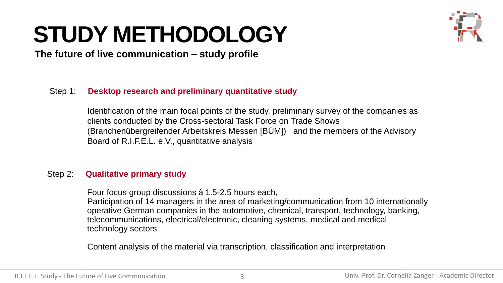## **STUDY METHODOLOGY**



**The future of live communication – study profile**

#### Step 1: **Desktop research and preliminary quantitative study**

Identification of the main focal points of the study, preliminary survey of the companies as clients conducted by the Cross-sectoral Task Force on Trade Shows (Branchenübergreifender Arbeitskreis Messen [BÜM]) and the members of the Advisory Board of R.I.F.E.L. e.V., quantitative analysis

#### Step 2: **Qualitative primary study**

Four focus group discussions à 1.5-2.5 hours each,

Participation of 14 managers in the area of marketing/communication from 10 internationally operative German companies in the automotive, chemical, transport, technology, banking, telecommunications, electrical/electronic, cleaning systems, medical and medical technology sectors

Content analysis of the material via transcription, classification and interpretation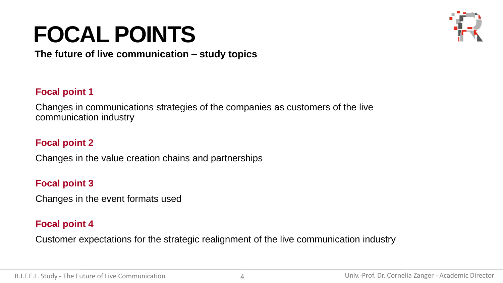## **FOCAL POINTS**



**The future of live communication – study topics**

#### **Focal point 1**

Changes in communications strategies of the companies as customers of the live communication industry

#### **Focal point 2**

Changes in the value creation chains and partnerships

#### **Focal point 3**

Changes in the event formats used

#### **Focal point 4**

Customer expectations for the strategic realignment of the live communication industry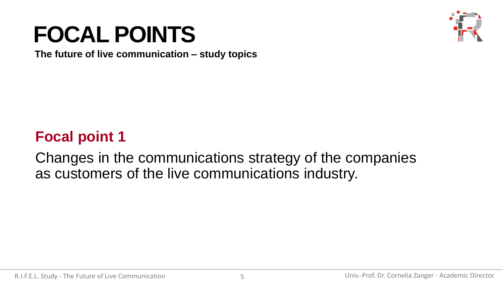## **FOCAL POINTS**



**The future of live communication – study topics**

#### **Focal point 1**

Changes in the communications strategy of the companies as customers of the live communications industry.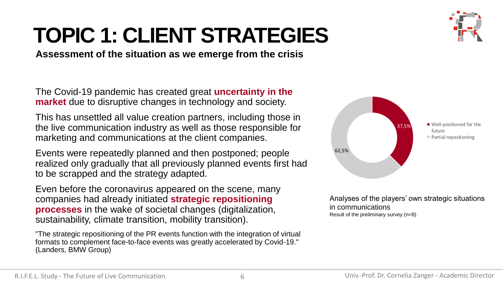#### **TOPIC 1: CLIENT STRATEGIES**

**Assessment of the situation as we emerge from the crisis**

The Covid-19 pandemic has created great **uncertainty in the market** due to disruptive changes in technology and society.

This has unsettled all value creation partners, including those in the live communication industry as well as those responsible for marketing and communications at the client companies.

Events were repeatedly planned and then postponed; people realized only gradually that all previously planned events first had to be scrapped and the strategy adapted.

Even before the coronavirus appeared on the scene, many companies had already initiated **strategic repositioning processes** in the wake of societal changes (digitalization, sustainability, climate transition, mobility transition).

"The strategic repositioning of the PR events function with the integration of virtual formats to complement face-to-face events was greatly accelerated by Covid-19." (Landers, BMW Group)



Analyses of the players' own strategic situations in communications Result of the preliminary survey (n=8)

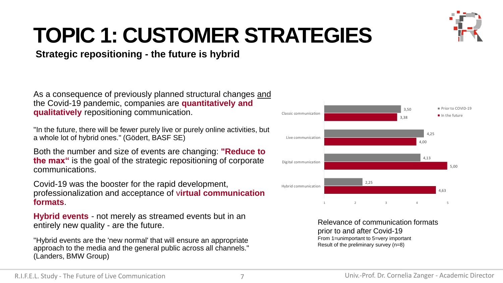As a consequence of previously planned structural changes and the Covid-19 pandemic, companies are **quantitatively and qualitatively** repositioning communication.

"In the future, there will be fewer purely live or purely online activities, but a whole lot of hybrid ones." (Gödert, BASF SE)

Both the number and size of events are changing: **"Reduce to the max"** is the goal of the strategic repositioning of corporate communications.

Covid-19 was the booster for the rapid development, professionalization and acceptance of v**irtual communication formats**.

**Hybrid events** - not merely as streamed events but in an entirely new quality - are the future.

"Hybrid events are the 'new normal' that will ensure an appropriate approach to the media and the general public across all channels." (Landers, BMW Group)

#### **TOPIC 1: CUSTOMER STRATEGIES Strategic repositioning - the future is hybrid**



Relevance of communication formats prior to and after Covid-19 From 1=unimportant to 5=very important Result of the preliminary survey (n=8)

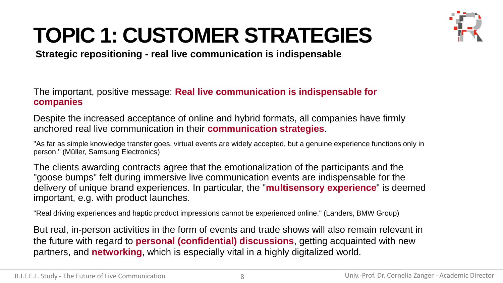

**Strategic repositioning - real live communication is indispensable**

The important, positive message: **Real live communication is indispensable for companies** 

Despite the increased acceptance of online and hybrid formats, all companies have firmly anchored real live communication in their **communication strategies**.

"As far as simple knowledge transfer goes, virtual events are widely accepted, but a genuine experience functions only in person." (Müller, Samsung Electronics)

The clients awarding contracts agree that the emotionalization of the participants and the "goose bumps" felt during immersive live communication events are indispensable for the delivery of unique brand experiences. In particular, the "**multisensory experience**" is deemed important, e.g. with product launches.

"Real driving experiences and haptic product impressions cannot be experienced online." (Landers, BMW Group)

But real, in-person activities in the form of events and trade shows will also remain relevant in the future with regard to **personal (confidential) discussions**, getting acquainted with new partners, and **networking**, which is especially vital in a highly digitalized world.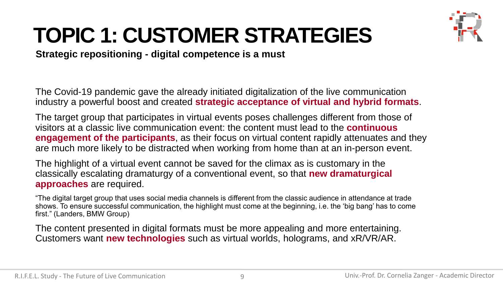

#### **Strategic repositioning - digital competence is a must**

The Covid-19 pandemic gave the already initiated digitalization of the live communication industry a powerful boost and created **strategic acceptance of virtual and hybrid formats**.

The target group that participates in virtual events poses challenges different from those of visitors at a classic live communication event: the content must lead to the **continuous engagement of the participants**, as their focus on virtual content rapidly attenuates and they are much more likely to be distracted when working from home than at an in-person event.

The highlight of a virtual event cannot be saved for the climax as is customary in the classically escalating dramaturgy of a conventional event, so that **new dramaturgical approaches** are required.

"The digital target group that uses social media channels is different from the classic audience in attendance at trade shows. To ensure successful communication, the highlight must come at the beginning, i.e. the 'big bang' has to come first." (Landers, BMW Group)

The content presented in digital formats must be more appealing and more entertaining. Customers want **new technologies** such as virtual worlds, holograms, and xR/VR/AR.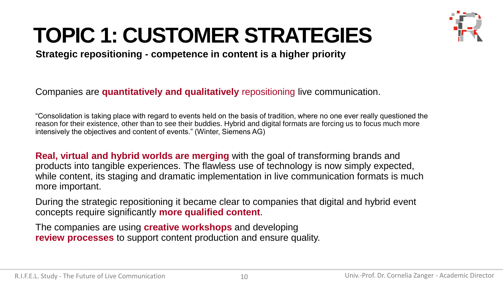

**Strategic repositioning - competence in content is a higher priority**

Companies are **quantitatively and qualitatively** repositioning live communication.

"Consolidation is taking place with regard to events held on the basis of tradition, where no one ever really questioned the reason for their existence, other than to see their buddies. Hybrid and digital formats are forcing us to focus much more intensively the objectives and content of events." (Winter, Siemens AG)

**Real, virtual and hybrid worlds are merging** with the goal of transforming brands and products into tangible experiences. The flawless use of technology is now simply expected, while content, its staging and dramatic implementation in live communication formats is much more important.

During the strategic repositioning it became clear to companies that digital and hybrid event concepts require significantly **more qualified content**.

The companies are using **creative workshops** and developing **review processes** to support content production and ensure quality.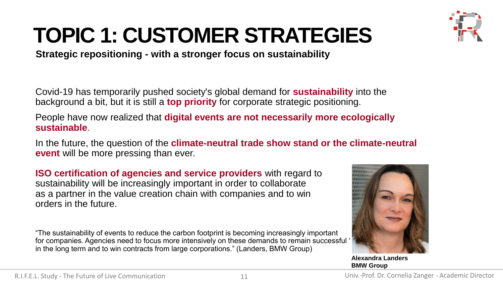**Strategic repositioning - with a stronger focus on sustainability** 

Covid-19 has temporarily pushed society's global demand for **sustainability** into the background a bit, but it is still a **top priority** for corporate strategic positioning.

People have now realized that **digital events are not necessarily more ecologically sustainable**.

In the future, the question of the **climate-neutral trade show stand or the climate-neutral event** will be more pressing than ever.

**ISO certification of agencies and service providers** with regard to sustainability will be increasingly important in order to collaborate as a partner in the value creation chain with companies and to win orders in the future.

"The sustainability of events to reduce the carbon footprint is becoming increasingly important for companies. Agencies need to focus more intensively on these demands to remain successful ' in the long term and to win contracts from large corporations." (Landers, BMW Group)





**Alexandra Landers BMW Group**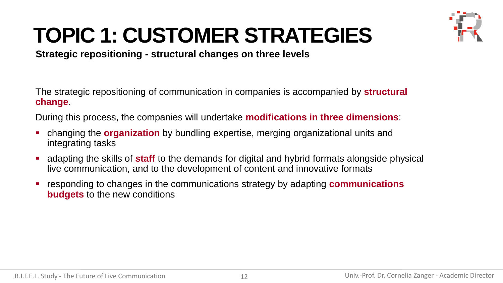

**Strategic repositioning - structural changes on three levels** 

The strategic repositioning of communication in companies is accompanied by **structural change**.

During this process, the companies will undertake **modifications in three dimensions**:

- changing the **organization** by bundling expertise, merging organizational units and integrating tasks
- **Example 1** adapting the skills of **staff** to the demands for digital and hybrid formats alongside physical live communication, and to the development of content and innovative formats
- responding to changes in the communications strategy by adapting **communications budgets** to the new conditions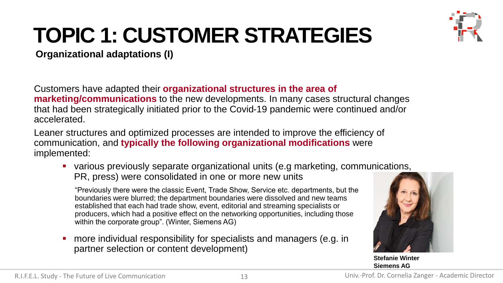

**Organizational adaptations (I)**

Customers have adapted their **organizational structures in the area of marketing/communications** to the new developments. In many cases structural changes that had been strategically initiated prior to the Covid-19 pandemic were continued and/or accelerated.

Leaner structures and optimized processes are intended to improve the efficiency of communication, and **typically the following organizational modifications** were implemented:

▪ various previously separate organizational units (e.g marketing, communications, PR, press) were consolidated in one or more new units

"Previously there were the classic Event, Trade Show, Service etc. departments, but the boundaries were blurred; the department boundaries were dissolved and new teams established that each had trade show, event, editorial and streaming specialists or producers, which had a positive effect on the networking opportunities, including those within the corporate group". (Winter, Siemens AG)

■ more individual responsibility for specialists and managers (e.g. in partner selection or content development)



**Stefanie Winter Siemens AG**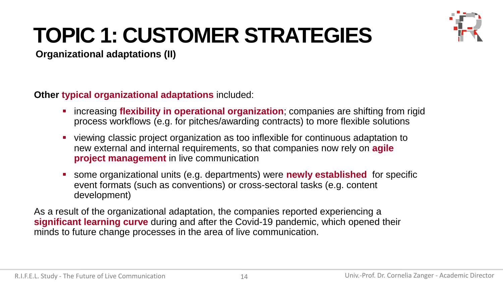

**Organizational adaptations (II)**

**Other typical organizational adaptations** included:

- **EXT** increasing **flexibility in operational organization**; companies are shifting from rigid process workflows (e.g. for pitches/awarding contracts) to more flexible solutions
- viewing classic project organization as too inflexible for continuous adaptation to new external and internal requirements, so that companies now rely on **agile project management** in live communication
- some organizational units (e.g. departments) were **newly established** for specific event formats (such as conventions) or cross-sectoral tasks (e.g. content development)

As a result of the organizational adaptation, the companies reported experiencing a **significant learning curve** during and after the Covid-19 pandemic, which opened their minds to future change processes in the area of live communication.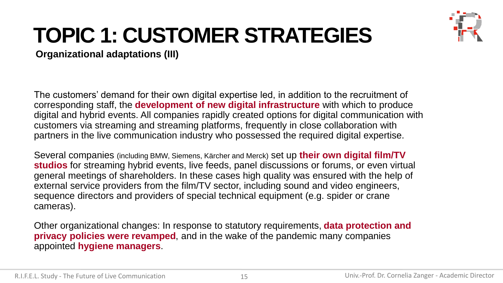

**Organizational adaptations (III)**

The customers' demand for their own digital expertise led, in addition to the recruitment of corresponding staff, the **development of new digital infrastructure** with which to produce digital and hybrid events. All companies rapidly created options for digital communication with customers via streaming and streaming platforms, frequently in close collaboration with partners in the live communication industry who possessed the required digital expertise.

Several companies (including BMW, Siemens, Kärcher and Merck) set up **their own digital film/TV studios** for streaming hybrid events, live feeds, panel discussions or forums, or even virtual general meetings of shareholders. In these cases high quality was ensured with the help of external service providers from the film/TV sector, including sound and video engineers, sequence directors and providers of special technical equipment (e.g. spider or crane cameras).

Other organizational changes: In response to statutory requirements, **data protection and privacy policies were revamped**, and in the wake of the pandemic many companies appointed **hygiene managers**.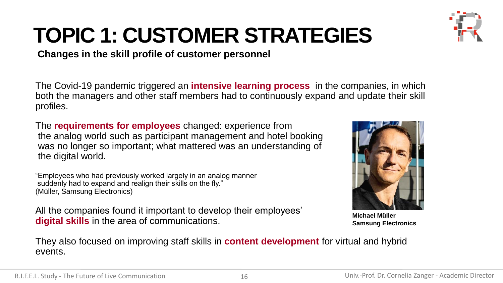#### **Changes in the skill profile of customer personnel**

The Covid-19 pandemic triggered an **intensive learning process** in the companies, in which both the managers and other staff members had to continuously expand and update their skill profiles.

The **requirements for employees** changed: experience from the analog world such as participant management and hotel booking was no longer so important; what mattered was an understanding of the digital world.

"Employees who had previously worked largely in an analog manner suddenly had to expand and realign their skills on the fly." (Müller, Samsung Electronics)

All the companies found it important to develop their employees' **digital skills** in the area of communications.



**Michael Müller Samsung Electronics**

They also focused on improving staff skills in **content development** for virtual and hybrid events.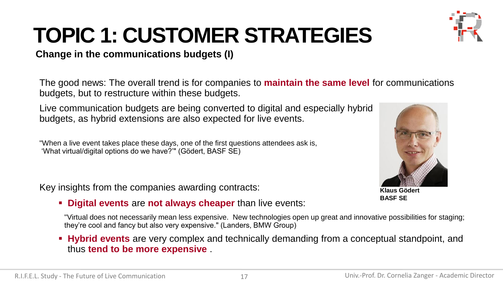#### **Change in the communications budgets (I)**

The good news: The overall trend is for companies to **maintain the same level** for communications budgets, but to restructure within these budgets.

Live communication budgets are being converted to digital and especially hybrid budgets, as hybrid extensions are also expected for live events.

"When a live event takes place these days, one of the first questions attendees ask is, 'What virtual/digital options do we have?'" (Gödert, BASF SE)

Key insights from the companies awarding contracts:

▪ **Digital events** are **not always cheaper** than live events:

"Virtual does not necessarily mean less expensive. New technologies open up great and innovative possibilities for staging; they're cool and fancy but also very expensive." (Landers, BMW Group)

▪ **Hybrid events** are very complex and technically demanding from a conceptual standpoint, and thus **tend to be more expensive** .

**Klaus Gödert BASF SE**

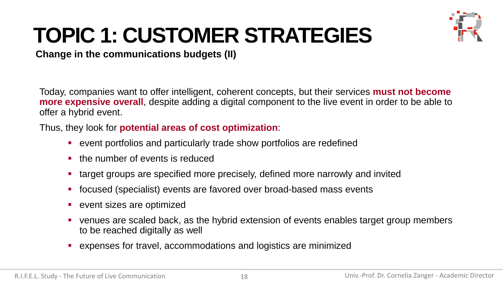

**Change in the communications budgets (II)**

Today, companies want to offer intelligent, coherent concepts, but their services **must not become more expensive overall**, despite adding a digital component to the live event in order to be able to offer a hybrid event.

Thus, they look for **potential areas of cost optimization**:

- event portfolios and particularly trade show portfolios are redefined
- the number of events is reduced
- target groups are specified more precisely, defined more narrowly and invited
- focused (specialist) events are favored over broad-based mass events
- event sizes are optimized
- venues are scaled back, as the hybrid extension of events enables target group members to be reached digitally as well
- expenses for travel, accommodations and logistics are minimized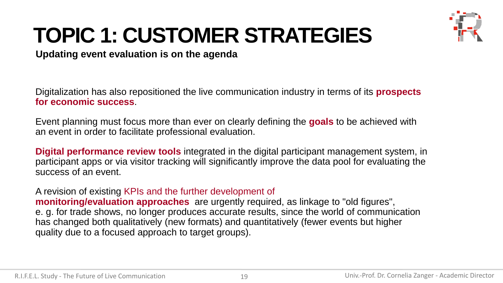

**Updating event evaluation is on the agenda**

Digitalization has also repositioned the live communication industry in terms of its **prospects for economic success**.

Event planning must focus more than ever on clearly defining the **goals** to be achieved with an event in order to facilitate professional evaluation.

**Digital performance review tools** integrated in the digital participant management system, in participant apps or via visitor tracking will significantly improve the data pool for evaluating the success of an event.

A revision of existing KPIs and the further development of **monitoring/evaluation approaches** are urgently required, as linkage to "old figures", e. g. for trade shows, no longer produces accurate results, since the world of communication has changed both qualitatively (new formats) and quantitatively (fewer events but higher quality due to a focused approach to target groups).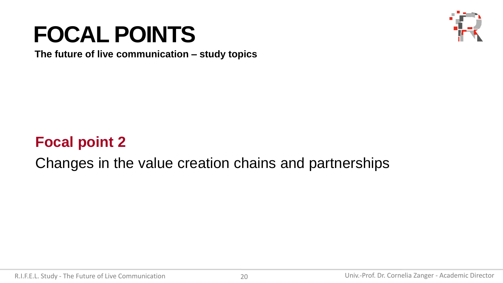## **FOCAL POINTS**



**The future of live communication – study topics**

#### **Focal point 2**

#### Changes in the value creation chains and partnerships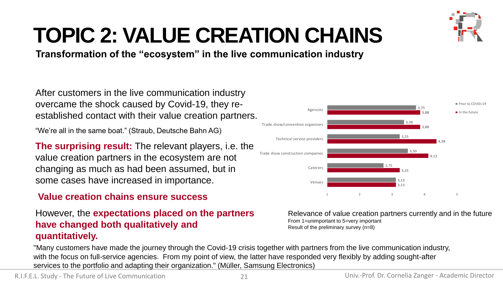**Transformation of the "ecosystem" in the live communication industry**

After customers in the live communication industry overcame the shock caused by Covid-19, they reestablished contact with their value creation partners.

"We're all in the same boat." (Straub, Deutsche Bahn AG)

**The surprising result:** The relevant players, i.e. the value creation partners in the ecosystem are not changing as much as had been assumed, but in some cases have increased in importance.

#### **Value creation chains ensure success**

#### However, the **expectations placed on the partners have changed both qualitatively and quantitatively.**

#### "Many customers have made the journey through the Covid-19 crisis together with partners from the live communication industry, with the focus on full-service agencies. From my point of view, the latter have responded very flexibly by adding sought-after services to the portfolio and adapting their organization." (Müller, Samsung Electronics)

R.I.F.E.L. Study - The Future of Live Communication 21 21 Univ.-Prof. Dr. Cornelia Zanger - Academic Director



From 1=unimportant to 5=very important Result of the preliminary survey (n=8)

Relevance of value creation partners currently and in the future

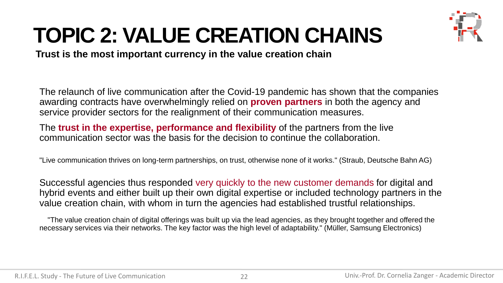

**Trust is the most important currency in the value creation chain** 

The relaunch of live communication after the Covid-19 pandemic has shown that the companies awarding contracts have overwhelmingly relied on **proven partners** in both the agency and service provider sectors for the realignment of their communication measures.

The **trust in the expertise, performance and flexibility** of the partners from the live communication sector was the basis for the decision to continue the collaboration.

"Live communication thrives on long-term partnerships, on trust, otherwise none of it works." (Straub, Deutsche Bahn AG)

Successful agencies thus responded very quickly to the new customer demands for digital and hybrid events and either built up their own digital expertise or included technology partners in the value creation chain, with whom in turn the agencies had established trustful relationships.

"The value creation chain of digital offerings was built up via the lead agencies, as they brought together and offered the necessary services via their networks. The key factor was the high level of adaptability." (Müller, Samsung Electronics)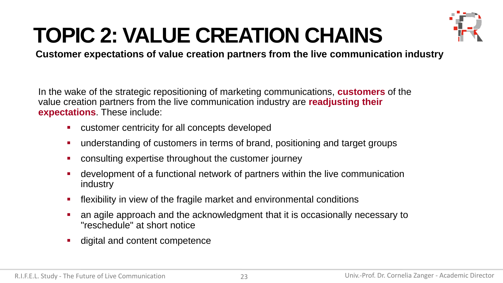

**Customer expectations of value creation partners from the live communication industry**

In the wake of the strategic repositioning of marketing communications, **customers** of the value creation partners from the live communication industry are **readjusting their expectations**. These include:

- customer centricity for all concepts developed
- understanding of customers in terms of brand, positioning and target groups
- consulting expertise throughout the customer journey
- development of a functional network of partners within the live communication industry
- flexibility in view of the fragile market and environmental conditions
- an agile approach and the acknowledgment that it is occasionally necessary to "reschedule" at short notice
- digital and content competence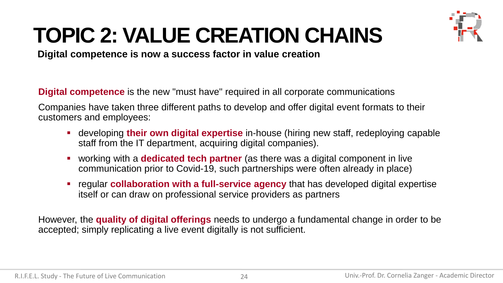

**Digital competence is now a success factor in value creation**

**Digital competence** is the new "must have" required in all corporate communications

Companies have taken three different paths to develop and offer digital event formats to their customers and employees:

- developing **their own digital expertise** in-house (hiring new staff, redeploying capable staff from the IT department, acquiring digital companies).
- working with a **dedicated tech partner** (as there was a digital component in live communication prior to Covid-19, such partnerships were often already in place)
- regular **collaboration with a full-service agency** that has developed digital expertise itself or can draw on professional service providers as partners

However, the **quality of digital offerings** needs to undergo a fundamental change in order to be accepted; simply replicating a live event digitally is not sufficient.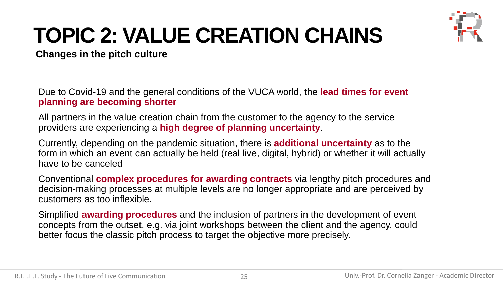

**Changes in the pitch culture**

Due to Covid-19 and the general conditions of the VUCA world, the **lead times for event planning are becoming shorter**

All partners in the value creation chain from the customer to the agency to the service providers are experiencing a **high degree of planning uncertainty**.

Currently, depending on the pandemic situation, there is **additional uncertainty** as to the form in which an event can actually be held (real live, digital, hybrid) or whether it will actually have to be canceled

Conventional **complex procedures for awarding contracts** via lengthy pitch procedures and decision-making processes at multiple levels are no longer appropriate and are perceived by customers as too inflexible.

Simplified **awarding procedures** and the inclusion of partners in the development of event concepts from the outset, e.g. via joint workshops between the client and the agency, could better focus the classic pitch process to target the objective more precisely.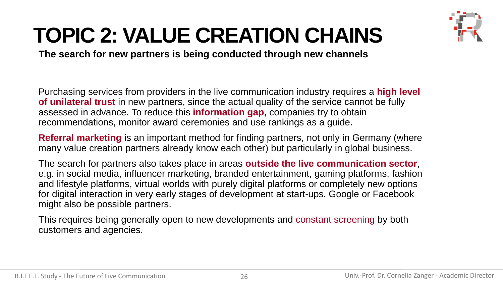

**The search for new partners is being conducted through new channels**

Purchasing services from providers in the live communication industry requires a **high level of unilateral trust** in new partners, since the actual quality of the service cannot be fully assessed in advance. To reduce this **information gap**, companies try to obtain recommendations, monitor award ceremonies and use rankings as a guide.

**Referral marketing** is an important method for finding partners, not only in Germany (where many value creation partners already know each other) but particularly in global business.

The search for partners also takes place in areas **outside the live communication sector**, e.g. in social media, influencer marketing, branded entertainment, gaming platforms, fashion and lifestyle platforms, virtual worlds with purely digital platforms or completely new options for digital interaction in very early stages of development at start-ups. Google or Facebook might also be possible partners.

This requires being generally open to new developments and constant screening by both customers and agencies.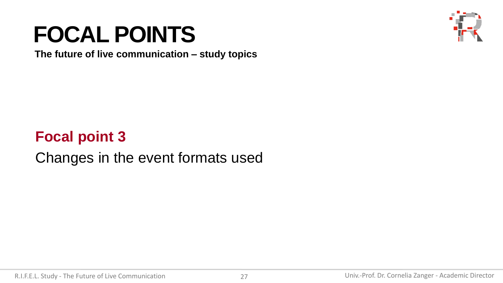## **FOCAL POINTS**

**The future of live communication – study topics**

#### **Focal point 3**

#### Changes in the event formats used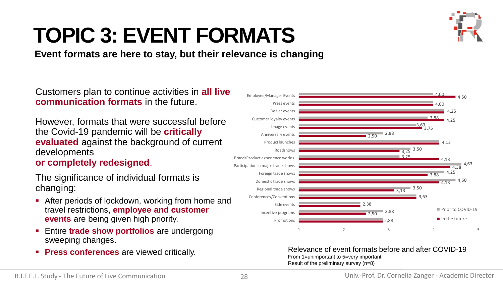#### Customers plan to continue activities in **all live communication formats** in the future.

However, formats that were successful before the Covid-19 pandemic will be **critically evaluated** against the background of current developments

**or completely redesigned**.

The significance of individual formats is changing:

- After periods of lockdown, working from home and travel restrictions, **employee and customer events** are being given high priority.
- **Entire trade show portfolios** are undergoing sweeping changes.
- 

## **TOPIC 3: EVENT FORMATS**

**Event formats are here to stay, but their relevance is changing**



■ **Press conferences** are viewed critically. Relevance of event formats before and after COVID-19 From 1=unimportant to 5=very important Result of the preliminary survey (n=8)

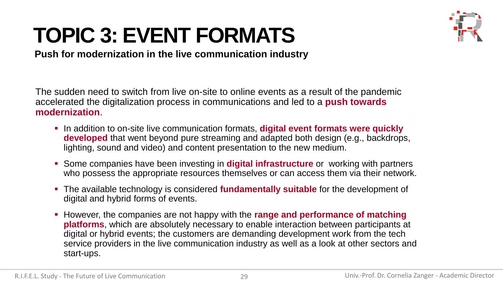

**Push for modernization in the live communication industry**

The sudden need to switch from live on-site to online events as a result of the pandemic accelerated the digitalization process in communications and led to a **push towards modernization**.

- **EXTERNIFFING** In addition to on-site live communication formats, **digital event formats were quickly developed** that went beyond pure streaming and adapted both design (e.g., backdrops, lighting, sound and video) and content presentation to the new medium.
- **•** Some companies have been investing in **digital infrastructure** or working with partners who possess the appropriate resources themselves or can access them via their network.
- **The available technology is considered fundamentally suitable** for the development of digital and hybrid forms of events.
- **EXTERF** However, the companies are not happy with the **range and performance of matching platforms**, which are absolutely necessary to enable interaction between participants at digital or hybrid events; the customers are demanding development work from the tech service providers in the live communication industry as well as a look at other sectors and start-ups.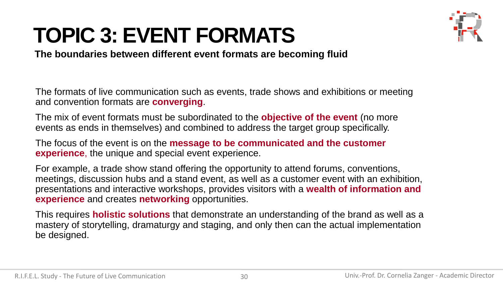

**The boundaries between different event formats are becoming fluid**

The formats of live communication such as events, trade shows and exhibitions or meeting and convention formats are **converging**.

The mix of event formats must be subordinated to the **objective of the event** (no more events as ends in themselves) and combined to address the target group specifically.

The focus of the event is on the **message to be communicated and the customer experience**, the unique and special event experience.

For example, a trade show stand offering the opportunity to attend forums, conventions, meetings, discussion hubs and a stand event, as well as a customer event with an exhibition, presentations and interactive workshops, provides visitors with a **wealth of information and experience** and creates **networking** opportunities.

This requires **holistic solutions** that demonstrate an understanding of the brand as well as a mastery of storytelling, dramaturgy and staging, and only then can the actual implementation be designed.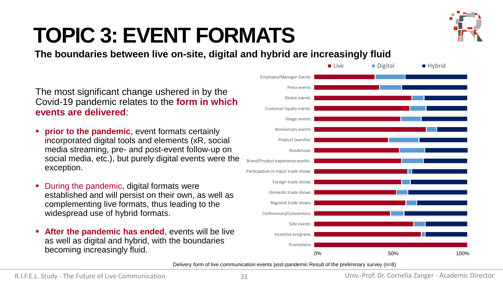

**The boundaries between live on-site, digital and hybrid are increasingly fluid**

The most significant change ushered in by the Covid-19 pandemic relates to the **form in which events are delivered**:

- **prior to the pandemic**, event formats certainly incorporated digital tools and elements (xR, social media streaming, pre- and post-event follow-up on social media, etc.), but purely digital events were the exception.
- During the pandemic, digital formats were established and will persist on their own, as well as complementing live formats, thus leading to the widespread use of hybrid formats.
- **EXECT:** After the pandemic has ended, events will be live as well as digital and hybrid, with the boundaries becoming increasingly fluid.



Delivery form of live communication events post-pandemic Result of the preliminary survey (n=8)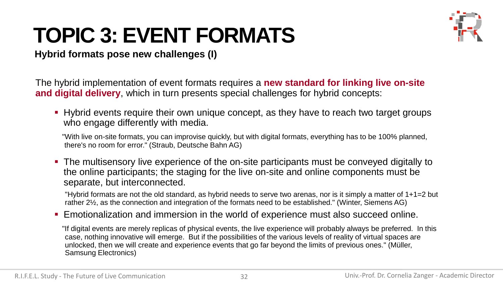

#### **Hybrid formats pose new challenges (I)**

The hybrid implementation of event formats requires a **new standard for linking live on-site and digital delivery**, which in turn presents special challenges for hybrid concepts:

**•** Hybrid events require their own unique concept, as they have to reach two target groups who engage differently with media.

"With live on-site formats, you can improvise quickly, but with digital formats, everything has to be 100% planned, there's no room for error." (Straub, Deutsche Bahn AG)

■ The multisensory live experience of the on-site participants must be conveyed digitally to the online participants; the staging for the live on-site and online components must be separate, but interconnected.

"Hybrid formats are not the old standard, as hybrid needs to serve two arenas, nor is it simply a matter of 1+1=2 but rather 2½, as the connection and integration of the formats need to be established." (Winter, Siemens AG)

**Emotionalization and immersion in the world of experience must also succeed online.** 

"If digital events are merely replicas of physical events, the live experience will probably always be preferred. In this case, nothing innovative will emerge. But if the possibilities of the various levels of reality of virtual spaces are unlocked, then we will create and experience events that go far beyond the limits of previous ones." (Müller, Samsung Electronics)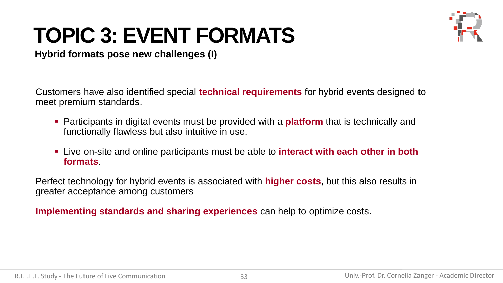

**Hybrid formats pose new challenges (I)**

Customers have also identified special **technical requirements** for hybrid events designed to meet premium standards.

- Participants in digital events must be provided with a **platform** that is technically and functionally flawless but also intuitive in use.
- Live on-site and online participants must be able to **interact with each other in both formats**.

Perfect technology for hybrid events is associated with **higher costs**, but this also results in greater acceptance among customers

**Implementing standards and sharing experiences** can help to optimize costs.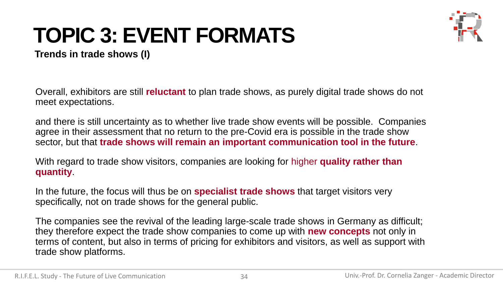

**Trends in trade shows (I)**

Overall, exhibitors are still **reluctant** to plan trade shows, as purely digital trade shows do not meet expectations.

and there is still uncertainty as to whether live trade show events will be possible. Companies agree in their assessment that no return to the pre-Covid era is possible in the trade show sector, but that **trade shows will remain an important communication tool in the future**.

With regard to trade show visitors, companies are looking for higher **quality rather than quantity**.

In the future, the focus will thus be on **specialist trade shows** that target visitors very specifically, not on trade shows for the general public.

The companies see the revival of the leading large-scale trade shows in Germany as difficult; they therefore expect the trade show companies to come up with **new concepts** not only in terms of content, but also in terms of pricing for exhibitors and visitors, as well as support with trade show platforms.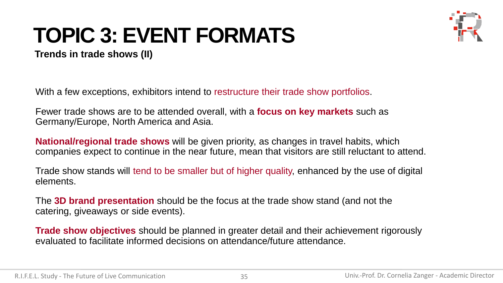

**Trends in trade shows (II)**

With a few exceptions, exhibitors intend to restructure their trade show portfolios.

Fewer trade shows are to be attended overall, with a **focus on key markets** such as Germany/Europe, North America and Asia.

**National/regional trade shows** will be given priority, as changes in travel habits, which companies expect to continue in the near future, mean that visitors are still reluctant to attend.

Trade show stands will tend to be smaller but of higher quality, enhanced by the use of digital elements.

The **3D brand presentation** should be the focus at the trade show stand (and not the catering, giveaways or side events).

**Trade show objectives** should be planned in greater detail and their achievement rigorously evaluated to facilitate informed decisions on attendance/future attendance.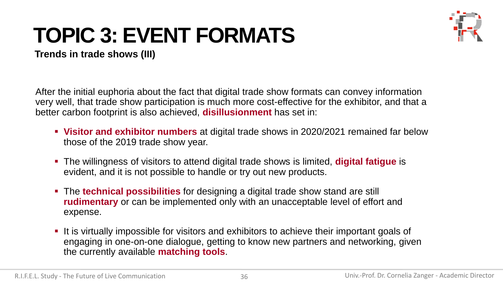

**Trends in trade shows (III)**

After the initial euphoria about the fact that digital trade show formats can convey information very well, that trade show participation is much more cost-effective for the exhibitor, and that a better carbon footprint is also achieved, **disillusionment** has set in:

- **Visitor and exhibitor numbers** at digital trade shows in 2020/2021 remained far below those of the 2019 trade show year.
- The willingness of visitors to attend digital trade shows is limited, **digital fatigue** is evident, and it is not possible to handle or try out new products.
- **The technical possibilities** for designing a digital trade show stand are still **rudimentary** or can be implemented only with an unacceptable level of effort and expense.
- **.** It is virtually impossible for visitors and exhibitors to achieve their important goals of engaging in one-on-one dialogue, getting to know new partners and networking, given the currently available **matching tools**.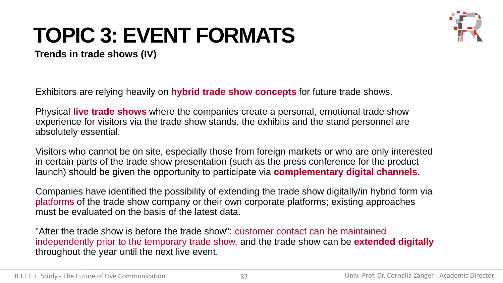

**Trends in trade shows (IV)**

Exhibitors are relying heavily on **hybrid trade show concepts** for future trade shows.

Physical **live trade shows** where the companies create a personal, emotional trade show experience for visitors via the trade show stands, the exhibits and the stand personnel are absolutely essential.

Visitors who cannot be on site, especially those from foreign markets or who are only interested in certain parts of the trade show presentation (such as the press conference for the product launch) should be given the opportunity to participate via **complementary digital channels**.

Companies have identified the possibility of extending the trade show digitally/in hybrid form via platforms of the trade show company or their own corporate platforms; existing approaches must be evaluated on the basis of the latest data.

"After the trade show is before the trade show": customer contact can be maintained independently prior to the temporary trade show, and the trade show can be **extended digitally** throughout the year until the next live event.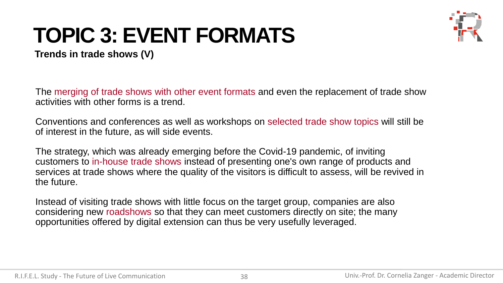

**Trends in trade shows (V)**

The merging of trade shows with other event formats and even the replacement of trade show activities with other forms is a trend.

Conventions and conferences as well as workshops on selected trade show topics will still be of interest in the future, as will side events.

The strategy, which was already emerging before the Covid-19 pandemic, of inviting customers to in-house trade shows instead of presenting one's own range of products and services at trade shows where the quality of the visitors is difficult to assess, will be revived in the future.

Instead of visiting trade shows with little focus on the target group, companies are also considering new roadshows so that they can meet customers directly on site; the many opportunities offered by digital extension can thus be very usefully leveraged.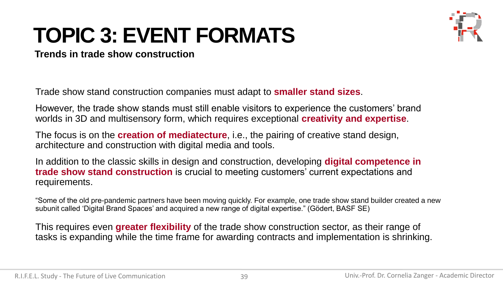

**Trends in trade show construction**

Trade show stand construction companies must adapt to **smaller stand sizes**.

However, the trade show stands must still enable visitors to experience the customers' brand worlds in 3D and multisensory form, which requires exceptional **creativity and expertise**.

The focus is on the **creation of mediatecture**, i.e., the pairing of creative stand design, architecture and construction with digital media and tools.

In addition to the classic skills in design and construction, developing **digital competence in trade show stand construction** is crucial to meeting customers' current expectations and requirements.

"Some of the old pre-pandemic partners have been moving quickly. For example, one trade show stand builder created a new subunit called 'Digital Brand Spaces' and acquired a new range of digital expertise." (Gödert, BASF SE)

This requires even **greater flexibility** of the trade show construction sector, as their range of tasks is expanding while the time frame for awarding contracts and implementation is shrinking.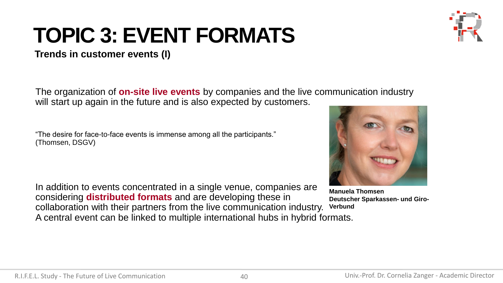#### **Trends in customer events (I)**

The organization of **on-site live events** by companies and the live communication industry will start up again in the future and is also expected by customers.

"The desire for face-to-face events is immense among all the participants." (Thomsen, DSGV)

In addition to events concentrated in a single venue, companies are considering **distributed formats** and are developing these in collaboration with their partners from the live communication industry. **Verbund**A central event can be linked to multiple international hubs in hybrid formats.



**Manuela Thomsen Deutscher Sparkassen- und Giro-**

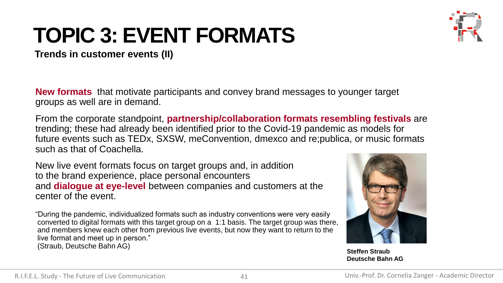

**Trends in customer events (II)**

**New formats** that motivate participants and convey brand messages to younger target groups as well are in demand.

From the corporate standpoint, **partnership/collaboration formats resembling festivals** are trending; these had already been identified prior to the Covid-19 pandemic as models for future events such as TEDx, SXSW, meConvention, dmexco and re;publica, or music formats such as that of Coachella.

New live event formats focus on target groups and, in addition to the brand experience, place personal encounters and **dialogue at eye-level** between companies and customers at the center of the event.

"During the pandemic, individualized formats such as industry conventions were very easily converted to digital formats with this target group on a 1:1 basis. The target group was there, and members knew each other from previous live events, but now they want to return to the live format and meet up in person." (Straub, Deutsche Bahn AG)



**Steffen Straub Deutsche Bahn AG**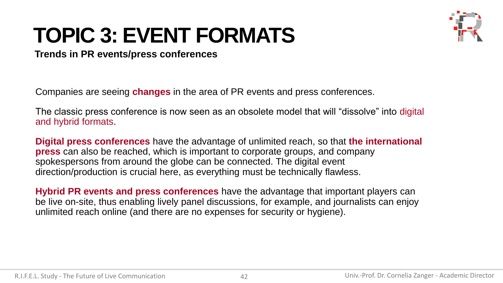

**Trends in PR events/press conferences**

Companies are seeing **changes** in the area of PR events and press conferences.

The classic press conference is now seen as an obsolete model that will "dissolve" into digital and hybrid formats.

**Digital press conferences** have the advantage of unlimited reach, so that **the international press** can also be reached, which is important to corporate groups, and company spokespersons from around the globe can be connected. The digital event direction/production is crucial here, as everything must be technically flawless.

**Hybrid PR events and press conferences** have the advantage that important players can be live on-site, thus enabling lively panel discussions, for example, and journalists can enjoy unlimited reach online (and there are no expenses for security or hygiene).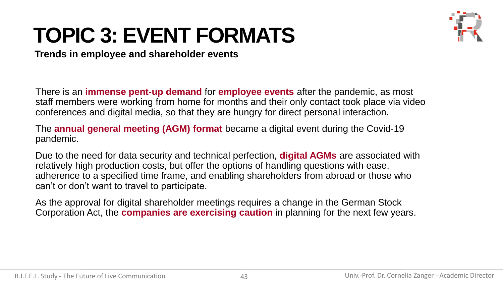

**Trends in employee and shareholder events**

There is an **immense pent-up demand** for **employee events** after the pandemic, as most staff members were working from home for months and their only contact took place via video conferences and digital media, so that they are hungry for direct personal interaction.

The **annual general meeting (AGM) format** became a digital event during the Covid-19 pandemic.

Due to the need for data security and technical perfection, **digital AGMs** are associated with relatively high production costs, but offer the options of handling questions with ease, adherence to a specified time frame, and enabling shareholders from abroad or those who can't or don't want to travel to participate.

As the approval for digital shareholder meetings requires a change in the German Stock Corporation Act, the **companies are exercising caution** in planning for the next few years.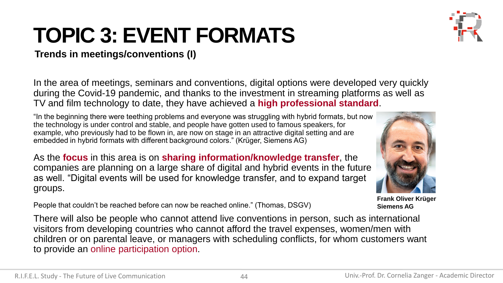#### **Trends in meetings/conventions (I)**

In the area of meetings, seminars and conventions, digital options were developed very quickly during the Covid-19 pandemic, and thanks to the investment in streaming platforms as well as TV and film technology to date, they have achieved a **high professional standard**.

"In the beginning there were teething problems and everyone was struggling with hybrid formats, but now the technology is under control and stable, and people have gotten used to famous speakers, for example, who previously had to be flown in, are now on stage in an attractive digital setting and are embedded in hybrid formats with different background colors." (Krüger, Siemens AG)

As the **focus** in this area is on **sharing information/knowledge transfer**, the companies are planning on a large share of digital and hybrid events in the future as well. "Digital events will be used for knowledge transfer, and to expand target groups.

People that couldn't be reached before can now be reached online." (Thomas, DSGV)

There will also be people who cannot attend live conventions in person, such as international visitors from developing countries who cannot afford the travel expenses, women/men with children or on parental leave, or managers with scheduling conflicts, for whom customers want to provide an online participation option.





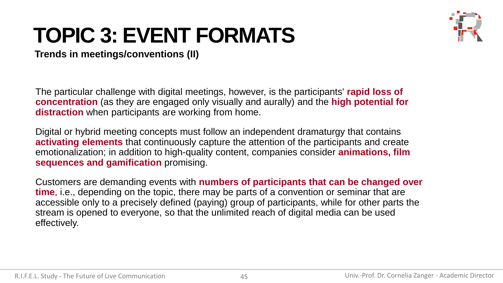

**Trends in meetings/conventions (II)**

The particular challenge with digital meetings, however, is the participants' **rapid loss of concentration** (as they are engaged only visually and aurally) and the **high potential for distraction** when participants are working from home.

Digital or hybrid meeting concepts must follow an independent dramaturgy that contains **activating elements** that continuously capture the attention of the participants and create emotionalization; in addition to high-quality content, companies consider **animations, film sequences and gamification** promising.

Customers are demanding events with **numbers of participants that can be changed over time**, i.e., depending on the topic, there may be parts of a convention or seminar that are accessible only to a precisely defined (paying) group of participants, while for other parts the stream is opened to everyone, so that the unlimited reach of digital media can be used effectively.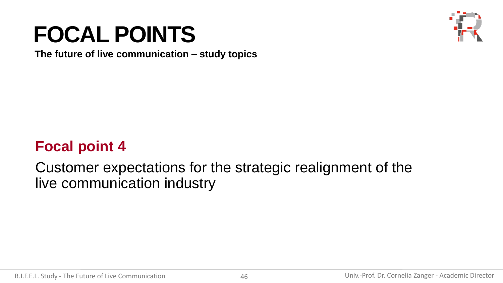## **FOCAL POINTS**



**The future of live communication – study topics**

#### **Focal point 4**

#### Customer expectations for the strategic realignment of the live communication industry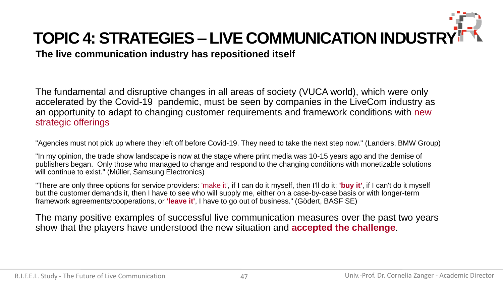**The live communication industry has repositioned itself**

The fundamental and disruptive changes in all areas of society (VUCA world), which were only accelerated by the Covid-19 pandemic, must be seen by companies in the LiveCom industry as an opportunity to adapt to changing customer requirements and framework conditions with new strategic offerings

"Agencies must not pick up where they left off before Covid-19. They need to take the next step now." (Landers, BMW Group)

"In my opinion, the trade show landscape is now at the stage where print media was 10-15 years ago and the demise of publishers began. Only those who managed to change and respond to the changing conditions with monetizable solutions will continue to exist." (Müller, Samsung Electronics)

"There are only three options for service providers: 'make it', if I can do it myself, then I'll do it; **'buy it'**, if I can't do it myself but the customer demands it, then I have to see who will supply me, either on a case-by-case basis or with longer-term framework agreements/cooperations, or **'leave it'**, I have to go out of business." (Gödert, BASF SE)

The many positive examples of successful live communication measures over the past two years show that the players have understood the new situation and **accepted the challenge**.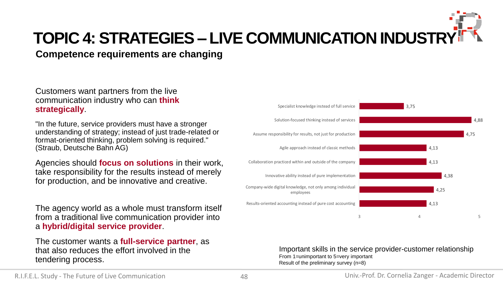#### **Competence requirements are changing**

#### Customers want partners from the live communication industry who can **think strategically**.

"In the future, service providers must have a stronger understanding of strategy; instead of just trade-related or format-oriented thinking, problem solving is required." (Straub, Deutsche Bahn AG)

Agencies should **focus on solutions** in their work, take responsibility for the results instead of merely for production, and be innovative and creative.

The agency world as a whole must transform itself from a traditional live communication provider into a **hybrid/digital service provider**.

The customer wants a **full-service partner**, as that also reduces the effort involved in the tendering process.



Important skills in the service provider-customer relationship From 1=unimportant to 5=very important Result of the preliminary survey (n=8)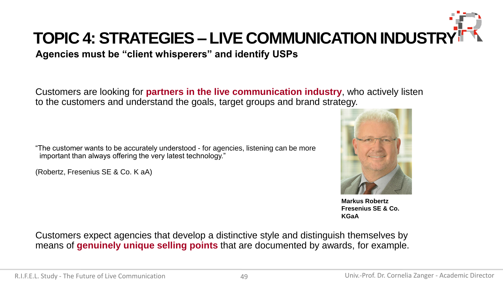#### **Agencies must be "client whisperers" and identify USPs**

Customers are looking for **partners in the live communication industry**, who actively listen to the customers and understand the goals, target groups and brand strategy.

"The customer wants to be accurately understood - for agencies, listening can be more important than always offering the very latest technology."

(Robertz, Fresenius SE & Co. K aA)



**Markus Robertz Fresenius SE & Co. KGaA**

Customers expect agencies that develop a distinctive style and distinguish themselves by means of **genuinely unique selling points** that are documented by awards, for example.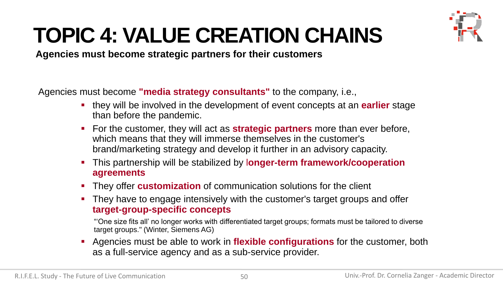

**Agencies must become strategic partners for their customers**

Agencies must become **"media strategy consultants"** to the company, i.e.,

- they will be involved in the development of event concepts at an **earlier** stage than before the pandemic.
- For the customer, they will act as **strategic partners** more than ever before, which means that they will immerse themselves in the customer's brand/marketing strategy and develop it further in an advisory capacity.
- This partnership will be stabilized by l**onger-term framework/cooperation agreements**
- They offer **customization** of communication solutions for the client
- They have to engage intensively with the customer's target groups and offer **target-group-specific concepts**

"'One size fits all' no longer works with differentiated target groups; formats must be tailored to diverse target groups." (Winter, Siemens AG)

Agencies must be able to work in **flexible configurations** for the customer, both as a full-service agency and as a sub-service provider.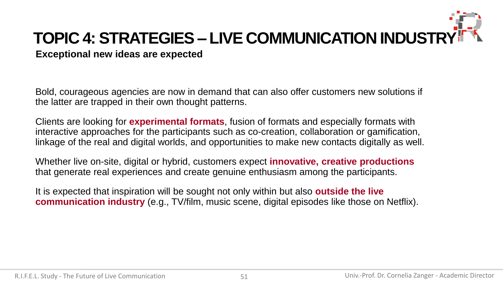**Exceptional new ideas are expected**

Bold, courageous agencies are now in demand that can also offer customers new solutions if the latter are trapped in their own thought patterns.

Clients are looking for **experimental formats**, fusion of formats and especially formats with interactive approaches for the participants such as co-creation, collaboration or gamification, linkage of the real and digital worlds, and opportunities to make new contacts digitally as well.

Whether live on-site, digital or hybrid, customers expect **innovative, creative productions** that generate real experiences and create genuine enthusiasm among the participants.

It is expected that inspiration will be sought not only within but also **outside the live communication industry** (e.g., TV/film, music scene, digital episodes like those on Netflix).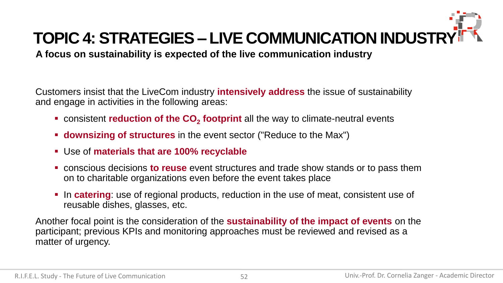**A focus on sustainability is expected of the live communication industry**

Customers insist that the LiveCom industry **intensively address** the issue of sustainability and engage in activities in the following areas:

- **Ex consistent reduction of the CO<sub>2</sub> footprint** all the way to climate-neutral events
- **downsizing of structures** in the event sector ("Reduce to the Max")
- Use of **materials that are 100% recyclable**
- conscious decisions **to reuse** event structures and trade show stands or to pass them on to charitable organizations even before the event takes place
- **.** In **catering**: use of regional products, reduction in the use of meat, consistent use of reusable dishes, glasses, etc.

Another focal point is the consideration of the **sustainability of the impact of events** on the participant; previous KPIs and monitoring approaches must be reviewed and revised as a matter of urgency.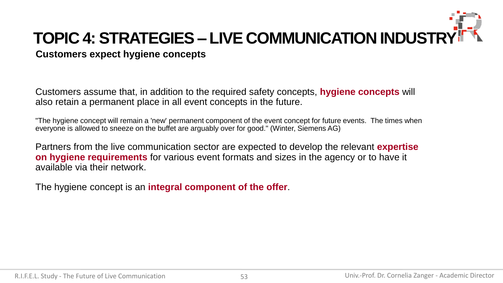#### **Customers expect hygiene concepts**

Customers assume that, in addition to the required safety concepts, **hygiene concepts** will also retain a permanent place in all event concepts in the future.

"The hygiene concept will remain a 'new' permanent component of the event concept for future events. The times when everyone is allowed to sneeze on the buffet are arguably over for good." (Winter, Siemens AG)

Partners from the live communication sector are expected to develop the relevant **expertise on hygiene requirements** for various event formats and sizes in the agency or to have it available via their network.

The hygiene concept is an **integral component of the offer**.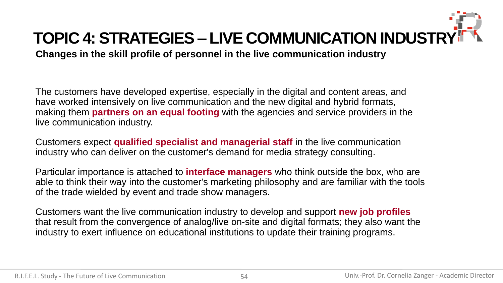**Changes in the skill profile of personnel in the live communication industry**

The customers have developed expertise, especially in the digital and content areas, and have worked intensively on live communication and the new digital and hybrid formats, making them **partners on an equal footing** with the agencies and service providers in the live communication industry.

Customers expect **qualified specialist and managerial staff** in the live communication industry who can deliver on the customer's demand for media strategy consulting.

Particular importance is attached to **interface managers** who think outside the box, who are able to think their way into the customer's marketing philosophy and are familiar with the tools of the trade wielded by event and trade show managers.

Customers want the live communication industry to develop and support **new job profiles** that result from the convergence of analog/live on-site and digital formats; they also want the industry to exert influence on educational institutions to update their training programs.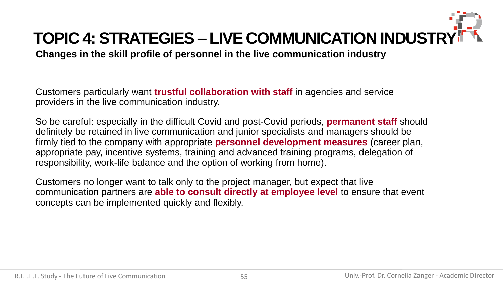**Changes in the skill profile of personnel in the live communication industry**

Customers particularly want **trustful collaboration with staff** in agencies and service providers in the live communication industry.

So be careful: especially in the difficult Covid and post-Covid periods, **permanent staff** should definitely be retained in live communication and junior specialists and managers should be firmly tied to the company with appropriate **personnel development measures** (career plan, appropriate pay, incentive systems, training and advanced training programs, delegation of responsibility, work-life balance and the option of working from home).

Customers no longer want to talk only to the project manager, but expect that live communication partners are **able to consult directly at employee level** to ensure that event concepts can be implemented quickly and flexibly.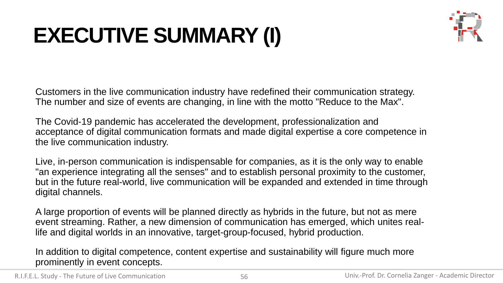### **EXECUTIVE SUMMARY (I)**



Customers in the live communication industry have redefined their communication strategy. The number and size of events are changing, in line with the motto "Reduce to the Max".

The Covid-19 pandemic has accelerated the development, professionalization and acceptance of digital communication formats and made digital expertise a core competence in the live communication industry.

Live, in-person communication is indispensable for companies, as it is the only way to enable "an experience integrating all the senses" and to establish personal proximity to the customer, but in the future real-world, live communication will be expanded and extended in time through digital channels.

A large proportion of events will be planned directly as hybrids in the future, but not as mere event streaming. Rather, a new dimension of communication has emerged, which unites reallife and digital worlds in an innovative, target-group-focused, hybrid production.

In addition to digital competence, content expertise and sustainability will figure much more prominently in event concepts.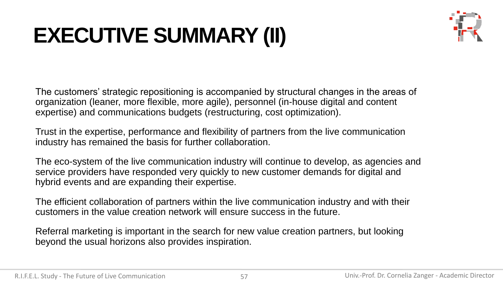### **EXECUTIVE SUMMARY (II)**



The customers' strategic repositioning is accompanied by structural changes in the areas of organization (leaner, more flexible, more agile), personnel (in-house digital and content expertise) and communications budgets (restructuring, cost optimization).

Trust in the expertise, performance and flexibility of partners from the live communication industry has remained the basis for further collaboration.

The eco-system of the live communication industry will continue to develop, as agencies and service providers have responded very quickly to new customer demands for digital and hybrid events and are expanding their expertise.

The efficient collaboration of partners within the live communication industry and with their customers in the value creation network will ensure success in the future.

Referral marketing is important in the search for new value creation partners, but looking beyond the usual horizons also provides inspiration.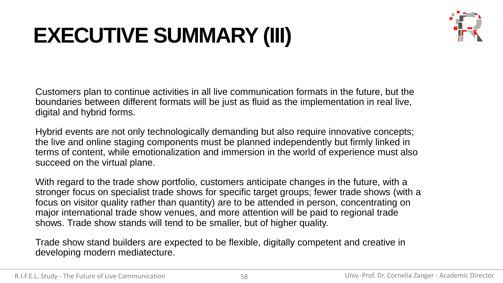### **EXECUTIVE SUMMARY (III)**



Customers plan to continue activities in all live communication formats in the future, but the boundaries between different formats will be just as fluid as the implementation in real live, digital and hybrid forms.

Hybrid events are not only technologically demanding but also require innovative concepts; the live and online staging components must be planned independently but firmly linked in terms of content, while emotionalization and immersion in the world of experience must also succeed on the virtual plane.

With regard to the trade show portfolio, customers anticipate changes in the future, with a stronger focus on specialist trade shows for specific target groups; fewer trade shows (with a focus on visitor quality rather than quantity) are to be attended in person, concentrating on major international trade show venues, and more attention will be paid to regional trade shows. Trade show stands will tend to be smaller, but of higher quality.

Trade show stand builders are expected to be flexible, digitally competent and creative in developing modern mediatecture.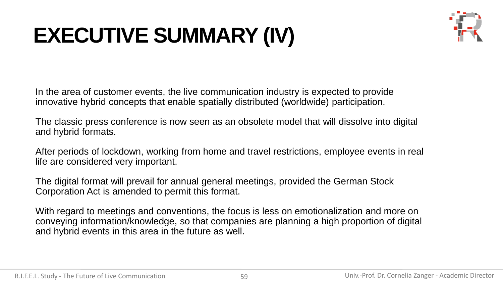### **EXECUTIVE SUMMARY (IV)**



In the area of customer events, the live communication industry is expected to provide innovative hybrid concepts that enable spatially distributed (worldwide) participation.

The classic press conference is now seen as an obsolete model that will dissolve into digital and hybrid formats.

After periods of lockdown, working from home and travel restrictions, employee events in real life are considered very important.

The digital format will prevail for annual general meetings, provided the German Stock Corporation Act is amended to permit this format.

With regard to meetings and conventions, the focus is less on emotionalization and more on conveying information/knowledge, so that companies are planning a high proportion of digital and hybrid events in this area in the future as well.